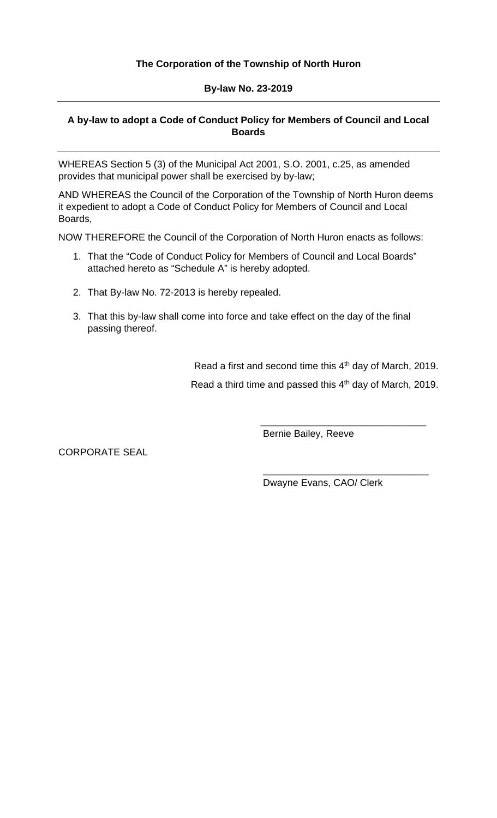## **The Corporation of the Township of North Huron**

#### **By-law No. 23-2019**

## **A by-law to adopt a Code of Conduct Policy for Members of Council and Local Boards**

WHEREAS Section 5 (3) of the Municipal Act 2001, S.O. 2001, c.25, as amended provides that municipal power shall be exercised by by-law;

AND WHEREAS the Council of the Corporation of the Township of North Huron deems it expedient to adopt a Code of Conduct Policy for Members of Council and Local Boards,

NOW THEREFORE the Council of the Corporation of North Huron enacts as follows:

- 1. That the "Code of Conduct Policy for Members of Council and Local Boards" attached hereto as "Schedule A" is hereby adopted.
- 2. That By-law No. 72-2013 is hereby repealed.
- 3. That this by-law shall come into force and take effect on the day of the final passing thereof.

Read a first and second time this 4<sup>th</sup> day of March, 2019. Read a third time and passed this 4<sup>th</sup> day of March, 2019.

Bernie Bailey, Reeve

CORPORATE SEAL

Dwayne Evans, CAO/ Clerk

 $\overline{\phantom{a}}$  , and the set of the set of the set of the set of the set of the set of the set of the set of the set of the set of the set of the set of the set of the set of the set of the set of the set of the set of the s

\_\_\_\_\_\_\_\_\_\_\_\_\_\_\_\_\_\_\_\_\_\_\_\_\_\_\_\_\_\_\_\_\_\_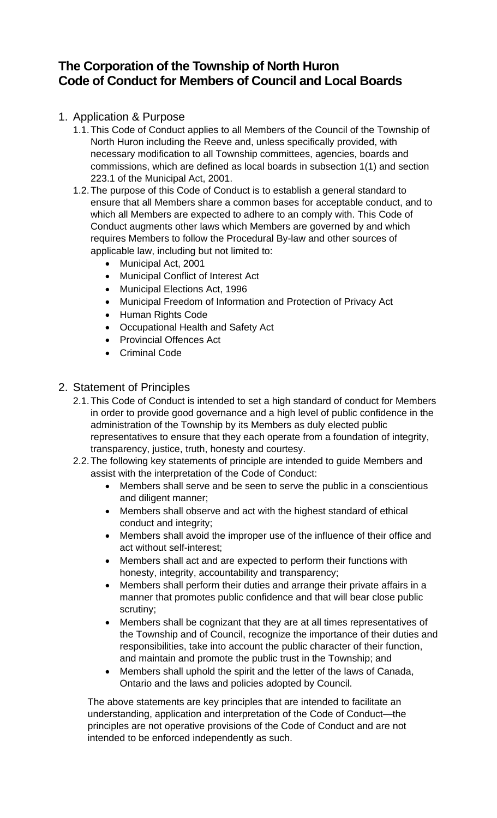# **The Corporation of the Township of North Huron Code of Conduct for Members of Council and Local Boards**

# 1. Application & Purpose

- 1.1.This Code of Conduct applies to all Members of the Council of the Township of North Huron including the Reeve and, unless specifically provided, with necessary modification to all Township committees, agencies, boards and commissions, which are defined as local boards in subsection 1(1) and section 223.1 of the Municipal Act, 2001.
- 1.2.The purpose of this Code of Conduct is to establish a general standard to ensure that all Members share a common bases for acceptable conduct, and to which all Members are expected to adhere to an comply with. This Code of Conduct augments other laws which Members are governed by and which requires Members to follow the Procedural By-law and other sources of applicable law, including but not limited to:
	- Municipal Act, 2001
	- Municipal Conflict of Interest Act
	- Municipal Elections Act, 1996
	- Municipal Freedom of Information and Protection of Privacy Act
	- Human Rights Code
	- Occupational Health and Safety Act
	- Provincial Offences Act
	- Criminal Code

# 2. Statement of Principles

- 2.1.This Code of Conduct is intended to set a high standard of conduct for Members in order to provide good governance and a high level of public confidence in the administration of the Township by its Members as duly elected public representatives to ensure that they each operate from a foundation of integrity, transparency, justice, truth, honesty and courtesy.
- 2.2.The following key statements of principle are intended to guide Members and assist with the interpretation of the Code of Conduct:
	- Members shall serve and be seen to serve the public in a conscientious and diligent manner;
	- Members shall observe and act with the highest standard of ethical conduct and integrity;
	- Members shall avoid the improper use of the influence of their office and act without self-interest;
	- Members shall act and are expected to perform their functions with honesty, integrity, accountability and transparency;
	- Members shall perform their duties and arrange their private affairs in a manner that promotes public confidence and that will bear close public scrutiny;
	- Members shall be cognizant that they are at all times representatives of the Township and of Council, recognize the importance of their duties and responsibilities, take into account the public character of their function, and maintain and promote the public trust in the Township; and
	- Members shall uphold the spirit and the letter of the laws of Canada, Ontario and the laws and policies adopted by Council.

The above statements are key principles that are intended to facilitate an understanding, application and interpretation of the Code of Conduct—the principles are not operative provisions of the Code of Conduct and are not intended to be enforced independently as such.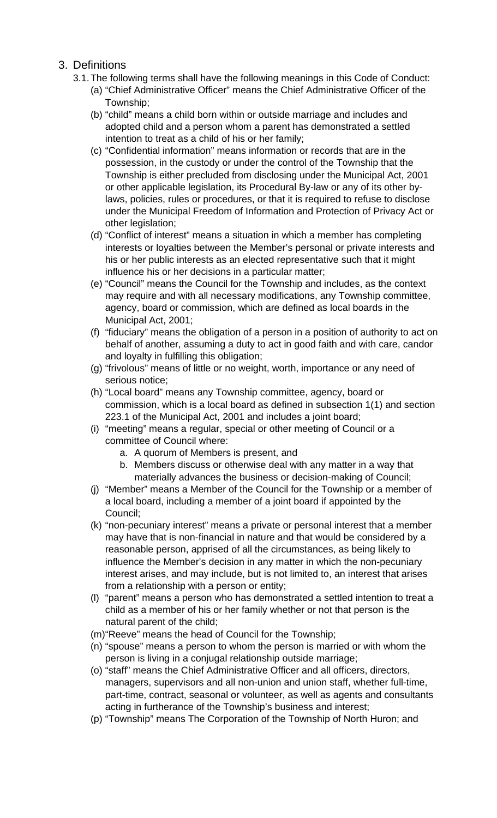# 3. Definitions

- 3.1.The following terms shall have the following meanings in this Code of Conduct:
	- (a) "Chief Administrative Officer" means the Chief Administrative Officer of the Township;
	- (b) "child" means a child born within or outside marriage and includes and adopted child and a person whom a parent has demonstrated a settled intention to treat as a child of his or her family;
	- (c) "Confidential information" means information or records that are in the possession, in the custody or under the control of the Township that the Township is either precluded from disclosing under the Municipal Act, 2001 or other applicable legislation, its Procedural By-law or any of its other bylaws, policies, rules or procedures, or that it is required to refuse to disclose under the Municipal Freedom of Information and Protection of Privacy Act or other legislation;
	- (d) "Conflict of interest" means a situation in which a member has completing interests or loyalties between the Member's personal or private interests and his or her public interests as an elected representative such that it might influence his or her decisions in a particular matter;
	- (e) "Council" means the Council for the Township and includes, as the context may require and with all necessary modifications, any Township committee, agency, board or commission, which are defined as local boards in the Municipal Act, 2001;
	- (f) "fiduciary" means the obligation of a person in a position of authority to act on behalf of another, assuming a duty to act in good faith and with care, candor and loyalty in fulfilling this obligation;
	- (g) "frivolous" means of little or no weight, worth, importance or any need of serious notice;
	- (h) "Local board" means any Township committee, agency, board or commission, which is a local board as defined in subsection 1(1) and section 223.1 of the Municipal Act, 2001 and includes a joint board;
	- (i) "meeting" means a regular, special or other meeting of Council or a committee of Council where:
		- a. A quorum of Members is present, and
		- b. Members discuss or otherwise deal with any matter in a way that materially advances the business or decision-making of Council;
	- (j) "Member" means a Member of the Council for the Township or a member of a local board, including a member of a joint board if appointed by the Council;
	- (k) "non-pecuniary interest" means a private or personal interest that a member may have that is non-financial in nature and that would be considered by a reasonable person, apprised of all the circumstances, as being likely to influence the Member's decision in any matter in which the non-pecuniary interest arises, and may include, but is not limited to, an interest that arises from a relationship with a person or entity;
	- (l) "parent" means a person who has demonstrated a settled intention to treat a child as a member of his or her family whether or not that person is the natural parent of the child;
	- (m)"Reeve" means the head of Council for the Township;
	- (n) "spouse" means a person to whom the person is married or with whom the person is living in a conjugal relationship outside marriage;
	- (o) "staff" means the Chief Administrative Officer and all officers, directors, managers, supervisors and all non-union and union staff, whether full-time, part-time, contract, seasonal or volunteer, as well as agents and consultants acting in furtherance of the Township's business and interest;
	- (p) "Township" means The Corporation of the Township of North Huron; and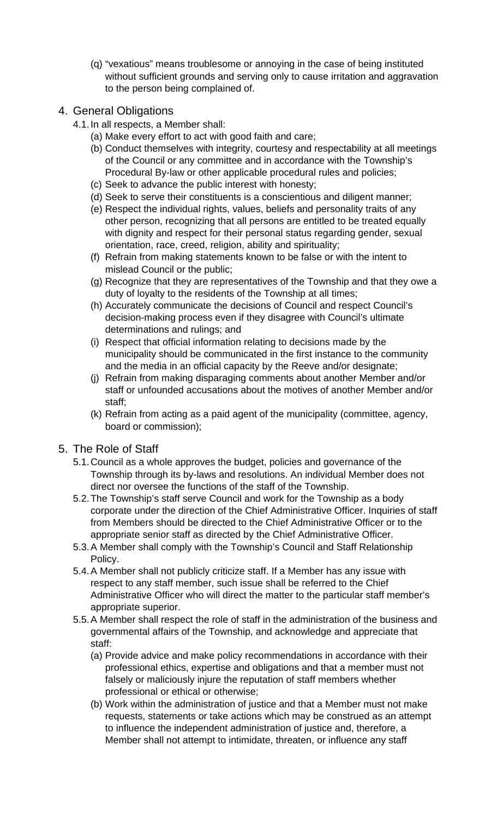(q) "vexatious" means troublesome or annoying in the case of being instituted without sufficient grounds and serving only to cause irritation and aggravation to the person being complained of.

# 4. General Obligations

- 4.1.In all respects, a Member shall:
	- (a) Make every effort to act with good faith and care;
	- (b) Conduct themselves with integrity, courtesy and respectability at all meetings of the Council or any committee and in accordance with the Township's Procedural By-law or other applicable procedural rules and policies;
	- (c) Seek to advance the public interest with honesty;
	- (d) Seek to serve their constituents is a conscientious and diligent manner;
	- (e) Respect the individual rights, values, beliefs and personality traits of any other person, recognizing that all persons are entitled to be treated equally with dignity and respect for their personal status regarding gender, sexual orientation, race, creed, religion, ability and spirituality;
	- (f) Refrain from making statements known to be false or with the intent to mislead Council or the public;
	- (g) Recognize that they are representatives of the Township and that they owe a duty of loyalty to the residents of the Township at all times;
	- (h) Accurately communicate the decisions of Council and respect Council's decision-making process even if they disagree with Council's ultimate determinations and rulings; and
	- (i) Respect that official information relating to decisions made by the municipality should be communicated in the first instance to the community and the media in an official capacity by the Reeve and/or designate;
	- (j) Refrain from making disparaging comments about another Member and/or staff or unfounded accusations about the motives of another Member and/or staff;
	- (k) Refrain from acting as a paid agent of the municipality (committee, agency, board or commission);

## 5. The Role of Staff

- 5.1.Council as a whole approves the budget, policies and governance of the Township through its by-laws and resolutions. An individual Member does not direct nor oversee the functions of the staff of the Township.
- 5.2.The Township's staff serve Council and work for the Township as a body corporate under the direction of the Chief Administrative Officer. Inquiries of staff from Members should be directed to the Chief Administrative Officer or to the appropriate senior staff as directed by the Chief Administrative Officer.
- 5.3.A Member shall comply with the Township's Council and Staff Relationship Policy.
- 5.4.A Member shall not publicly criticize staff. If a Member has any issue with respect to any staff member, such issue shall be referred to the Chief Administrative Officer who will direct the matter to the particular staff member's appropriate superior.
- 5.5.A Member shall respect the role of staff in the administration of the business and governmental affairs of the Township, and acknowledge and appreciate that staff:
	- (a) Provide advice and make policy recommendations in accordance with their professional ethics, expertise and obligations and that a member must not falsely or maliciously injure the reputation of staff members whether professional or ethical or otherwise;
	- (b) Work within the administration of justice and that a Member must not make requests, statements or take actions which may be construed as an attempt to influence the independent administration of justice and, therefore, a Member shall not attempt to intimidate, threaten, or influence any staff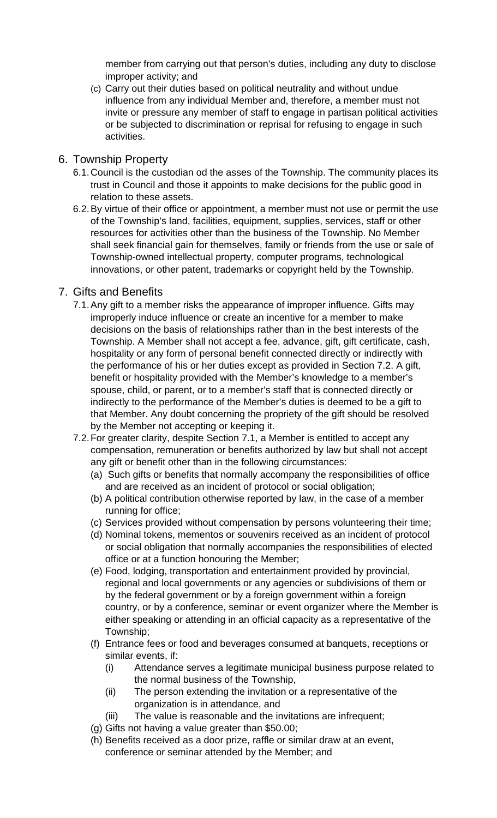member from carrying out that person's duties, including any duty to disclose improper activity; and

(c) Carry out their duties based on political neutrality and without undue influence from any individual Member and, therefore, a member must not invite or pressure any member of staff to engage in partisan political activities or be subjected to discrimination or reprisal for refusing to engage in such activities.

## 6. Township Property

- 6.1.Council is the custodian od the asses of the Township. The community places its trust in Council and those it appoints to make decisions for the public good in relation to these assets.
- 6.2.By virtue of their office or appointment, a member must not use or permit the use of the Township's land, facilities, equipment, supplies, services, staff or other resources for activities other than the business of the Township. No Member shall seek financial gain for themselves, family or friends from the use or sale of Township-owned intellectual property, computer programs, technological innovations, or other patent, trademarks or copyright held by the Township.

## 7. Gifts and Benefits

- 7.1.Any gift to a member risks the appearance of improper influence. Gifts may improperly induce influence or create an incentive for a member to make decisions on the basis of relationships rather than in the best interests of the Township. A Member shall not accept a fee, advance, gift, gift certificate, cash, hospitality or any form of personal benefit connected directly or indirectly with the performance of his or her duties except as provided in Section 7.2. A gift, benefit or hospitality provided with the Member's knowledge to a member's spouse, child, or parent, or to a member's staff that is connected directly or indirectly to the performance of the Member's duties is deemed to be a gift to that Member. Any doubt concerning the propriety of the gift should be resolved by the Member not accepting or keeping it.
- 7.2.For greater clarity, despite Section 7.1, a Member is entitled to accept any compensation, remuneration or benefits authorized by law but shall not accept any gift or benefit other than in the following circumstances:
	- (a) Such gifts or benefits that normally accompany the responsibilities of office and are received as an incident of protocol or social obligation;
	- (b) A political contribution otherwise reported by law, in the case of a member running for office;
	- (c) Services provided without compensation by persons volunteering their time;
	- (d) Nominal tokens, mementos or souvenirs received as an incident of protocol or social obligation that normally accompanies the responsibilities of elected office or at a function honouring the Member;
	- (e) Food, lodging, transportation and entertainment provided by provincial, regional and local governments or any agencies or subdivisions of them or by the federal government or by a foreign government within a foreign country, or by a conference, seminar or event organizer where the Member is either speaking or attending in an official capacity as a representative of the Township;
	- (f) Entrance fees or food and beverages consumed at banquets, receptions or similar events, if:
		- (i) Attendance serves a legitimate municipal business purpose related to the normal business of the Township,
		- (ii) The person extending the invitation or a representative of the organization is in attendance, and
		- (iii) The value is reasonable and the invitations are infrequent;
	- (g) Gifts not having a value greater than \$50.00;
	- (h) Benefits received as a door prize, raffle or similar draw at an event, conference or seminar attended by the Member; and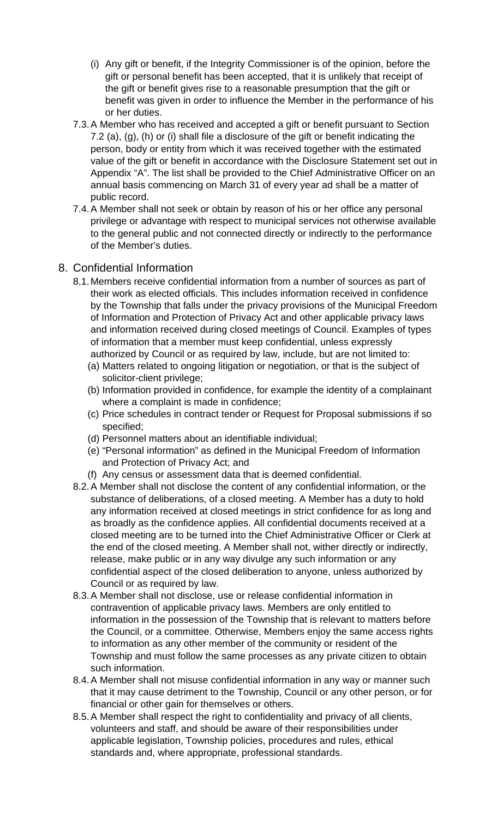- (i) Any gift or benefit, if the Integrity Commissioner is of the opinion, before the gift or personal benefit has been accepted, that it is unlikely that receipt of the gift or benefit gives rise to a reasonable presumption that the gift or benefit was given in order to influence the Member in the performance of his or her duties.
- 7.3.A Member who has received and accepted a gift or benefit pursuant to Section 7.2 (a), (g), (h) or (i) shall file a disclosure of the gift or benefit indicating the person, body or entity from which it was received together with the estimated value of the gift or benefit in accordance with the Disclosure Statement set out in Appendix "A". The list shall be provided to the Chief Administrative Officer on an annual basis commencing on March 31 of every year ad shall be a matter of public record.
- 7.4.A Member shall not seek or obtain by reason of his or her office any personal privilege or advantage with respect to municipal services not otherwise available to the general public and not connected directly or indirectly to the performance of the Member's duties.

## 8. Confidential Information

- 8.1.Members receive confidential information from a number of sources as part of their work as elected officials. This includes information received in confidence by the Township that falls under the privacy provisions of the Municipal Freedom of Information and Protection of Privacy Act and other applicable privacy laws and information received during closed meetings of Council. Examples of types of information that a member must keep confidential, unless expressly authorized by Council or as required by law, include, but are not limited to:
	- (a) Matters related to ongoing litigation or negotiation, or that is the subject of solicitor-client privilege;
	- (b) Information provided in confidence, for example the identity of a complainant where a complaint is made in confidence;
	- (c) Price schedules in contract tender or Request for Proposal submissions if so specified;
	- (d) Personnel matters about an identifiable individual;
	- (e) "Personal information" as defined in the Municipal Freedom of Information and Protection of Privacy Act; and
	- (f) Any census or assessment data that is deemed confidential.
- 8.2.A Member shall not disclose the content of any confidential information, or the substance of deliberations, of a closed meeting. A Member has a duty to hold any information received at closed meetings in strict confidence for as long and as broadly as the confidence applies. All confidential documents received at a closed meeting are to be turned into the Chief Administrative Officer or Clerk at the end of the closed meeting. A Member shall not, wither directly or indirectly, release, make public or in any way divulge any such information or any confidential aspect of the closed deliberation to anyone, unless authorized by Council or as required by law.
- 8.3.A Member shall not disclose, use or release confidential information in contravention of applicable privacy laws. Members are only entitled to information in the possession of the Township that is relevant to matters before the Council, or a committee. Otherwise, Members enjoy the same access rights to information as any other member of the community or resident of the Township and must follow the same processes as any private citizen to obtain such information.
- 8.4.A Member shall not misuse confidential information in any way or manner such that it may cause detriment to the Township, Council or any other person, or for financial or other gain for themselves or others.
- 8.5.A Member shall respect the right to confidentiality and privacy of all clients, volunteers and staff, and should be aware of their responsibilities under applicable legislation, Township policies, procedures and rules, ethical standards and, where appropriate, professional standards.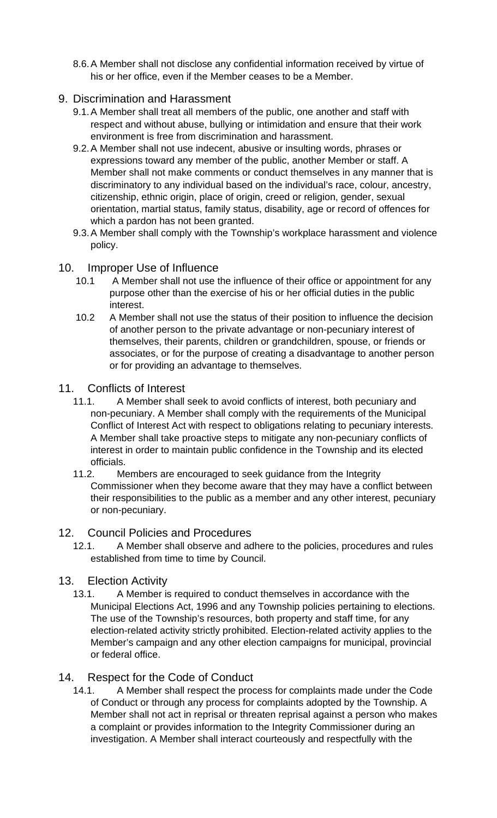8.6.A Member shall not disclose any confidential information received by virtue of his or her office, even if the Member ceases to be a Member.

## 9. Discrimination and Harassment

- 9.1.A Member shall treat all members of the public, one another and staff with respect and without abuse, bullying or intimidation and ensure that their work environment is free from discrimination and harassment.
- 9.2.A Member shall not use indecent, abusive or insulting words, phrases or expressions toward any member of the public, another Member or staff. A Member shall not make comments or conduct themselves in any manner that is discriminatory to any individual based on the individual's race, colour, ancestry, citizenship, ethnic origin, place of origin, creed or religion, gender, sexual orientation, martial status, family status, disability, age or record of offences for which a pardon has not been granted.
- 9.3.A Member shall comply with the Township's workplace harassment and violence policy.

## 10. Improper Use of Influence

- 10.1 A Member shall not use the influence of their office or appointment for any purpose other than the exercise of his or her official duties in the public interest.
- 10.2 A Member shall not use the status of their position to influence the decision of another person to the private advantage or non-pecuniary interest of themselves, their parents, children or grandchildren, spouse, or friends or associates, or for the purpose of creating a disadvantage to another person or for providing an advantage to themselves.

## 11. Conflicts of Interest

- 11.1. A Member shall seek to avoid conflicts of interest, both pecuniary and non-pecuniary. A Member shall comply with the requirements of the Municipal Conflict of Interest Act with respect to obligations relating to pecuniary interests. A Member shall take proactive steps to mitigate any non-pecuniary conflicts of interest in order to maintain public confidence in the Township and its elected officials.
- 11.2. Members are encouraged to seek guidance from the Integrity Commissioner when they become aware that they may have a conflict between their responsibilities to the public as a member and any other interest, pecuniary or non-pecuniary.

## 12. Council Policies and Procedures

12.1. A Member shall observe and adhere to the policies, procedures and rules established from time to time by Council.

## 13. Election Activity

13.1. A Member is required to conduct themselves in accordance with the Municipal Elections Act, 1996 and any Township policies pertaining to elections. The use of the Township's resources, both property and staff time, for any election-related activity strictly prohibited. Election-related activity applies to the Member's campaign and any other election campaigns for municipal, provincial or federal office.

## 14. Respect for the Code of Conduct

14.1. A Member shall respect the process for complaints made under the Code of Conduct or through any process for complaints adopted by the Township. A Member shall not act in reprisal or threaten reprisal against a person who makes a complaint or provides information to the Integrity Commissioner during an investigation. A Member shall interact courteously and respectfully with the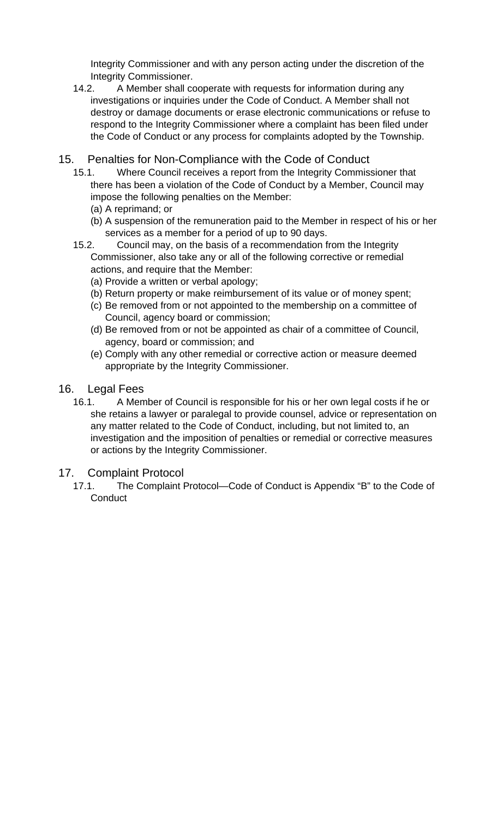Integrity Commissioner and with any person acting under the discretion of the Integrity Commissioner.

- 14.2. A Member shall cooperate with requests for information during any investigations or inquiries under the Code of Conduct. A Member shall not destroy or damage documents or erase electronic communications or refuse to respond to the Integrity Commissioner where a complaint has been filed under the Code of Conduct or any process for complaints adopted by the Township.
- 15. Penalties for Non-Compliance with the Code of Conduct
	- 15.1. Where Council receives a report from the Integrity Commissioner that there has been a violation of the Code of Conduct by a Member, Council may impose the following penalties on the Member:
		- (a) A reprimand; or
		- (b) A suspension of the remuneration paid to the Member in respect of his or her services as a member for a period of up to 90 days.
	- 15.2. Council may, on the basis of a recommendation from the Integrity Commissioner, also take any or all of the following corrective or remedial actions, and require that the Member:
		- (a) Provide a written or verbal apology;
		- (b) Return property or make reimbursement of its value or of money spent;
		- (c) Be removed from or not appointed to the membership on a committee of Council, agency board or commission;
		- (d) Be removed from or not be appointed as chair of a committee of Council, agency, board or commission; and
		- (e) Comply with any other remedial or corrective action or measure deemed appropriate by the Integrity Commissioner.
- 16. Legal Fees
	- 16.1. A Member of Council is responsible for his or her own legal costs if he or she retains a lawyer or paralegal to provide counsel, advice or representation on any matter related to the Code of Conduct, including, but not limited to, an investigation and the imposition of penalties or remedial or corrective measures or actions by the Integrity Commissioner.
- 17. Complaint Protocol
	- 17.1. The Complaint Protocol—Code of Conduct is Appendix "B" to the Code of **Conduct**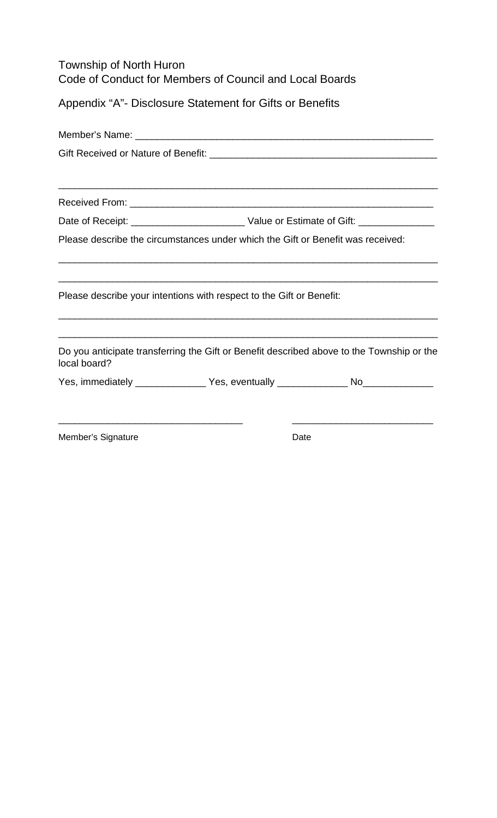| Township of North Huron                                 |
|---------------------------------------------------------|
| Code of Conduct for Members of Council and Local Boards |

Appendix "A"- Disclosure Statement for Gifts or Benefits

| ,我们也不能在这里的时候,我们也不能在这里的时候,我们也不能在这里的时候,我们也不能会不能在这里的时候,我们也不能会不能会不能会不能会不能会不能会不能会不能会不                          |      |
|-----------------------------------------------------------------------------------------------------------|------|
|                                                                                                           |      |
|                                                                                                           |      |
| Please describe the circumstances under which the Gift or Benefit was received:                           |      |
| <u> 1989 - Johann Barn, mars an t-Amerikaansk politiker (* 1908)</u>                                      |      |
| Please describe your intentions with respect to the Gift or Benefit:                                      |      |
| Do you anticipate transferring the Gift or Benefit described above to the Township or the<br>local board? |      |
| Yes, immediately ________________Yes, eventually ________________No_____________                          |      |
| Member's Signature                                                                                        | Date |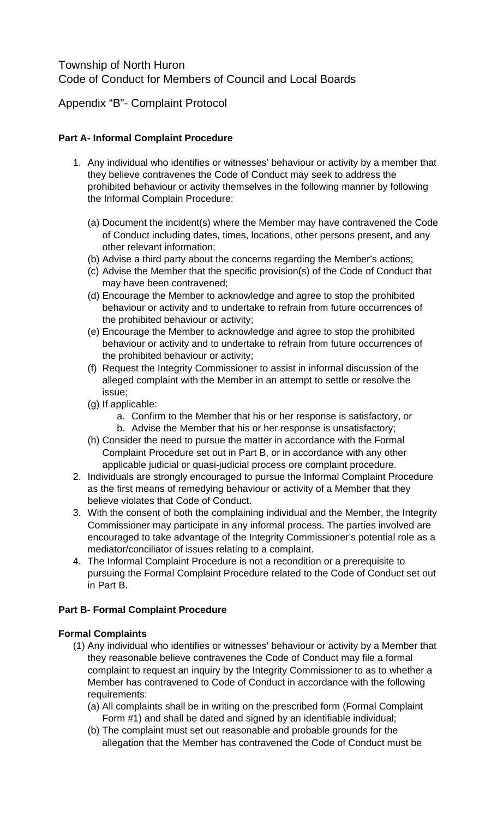# Township of North Huron Code of Conduct for Members of Council and Local Boards

Appendix "B"- Complaint Protocol

## **Part A- Informal Complaint Procedure**

- 1. Any individual who identifies or witnesses' behaviour or activity by a member that they believe contravenes the Code of Conduct may seek to address the prohibited behaviour or activity themselves in the following manner by following the Informal Complain Procedure:
	- (a) Document the incident(s) where the Member may have contravened the Code of Conduct including dates, times, locations, other persons present, and any other relevant information;
	- (b) Advise a third party about the concerns regarding the Member's actions;
	- (c) Advise the Member that the specific provision(s) of the Code of Conduct that may have been contravened;
	- (d) Encourage the Member to acknowledge and agree to stop the prohibited behaviour or activity and to undertake to refrain from future occurrences of the prohibited behaviour or activity;
	- (e) Encourage the Member to acknowledge and agree to stop the prohibited behaviour or activity and to undertake to refrain from future occurrences of the prohibited behaviour or activity;
	- (f) Request the Integrity Commissioner to assist in informal discussion of the alleged complaint with the Member in an attempt to settle or resolve the issue;
	- (g) If applicable:
		- a. Confirm to the Member that his or her response is satisfactory, or b. Advise the Member that his or her response is unsatisfactory;
	- (h) Consider the need to pursue the matter in accordance with the Formal Complaint Procedure set out in Part B, or in accordance with any other applicable judicial or quasi-judicial process ore complaint procedure.
- 2. Individuals are strongly encouraged to pursue the Informal Complaint Procedure as the first means of remedying behaviour or activity of a Member that they believe violates that Code of Conduct.
- 3. With the consent of both the complaining individual and the Member, the Integrity Commissioner may participate in any informal process. The parties involved are encouraged to take advantage of the Integrity Commissioner's potential role as a mediator/conciliator of issues relating to a complaint.
- 4. The Informal Complaint Procedure is not a recondition or a prerequisite to pursuing the Formal Complaint Procedure related to the Code of Conduct set out in Part B.

# **Part B- Formal Complaint Procedure**

## **Formal Complaints**

- (1) Any individual who identifies or witnesses' behaviour or activity by a Member that they reasonable believe contravenes the Code of Conduct may file a formal complaint to request an inquiry by the Integrity Commissioner to as to whether a Member has contravened to Code of Conduct in accordance with the following requirements:
	- (a) All complaints shall be in writing on the prescribed form (Formal Complaint Form #1) and shall be dated and signed by an identifiable individual;
	- (b) The complaint must set out reasonable and probable grounds for the allegation that the Member has contravened the Code of Conduct must be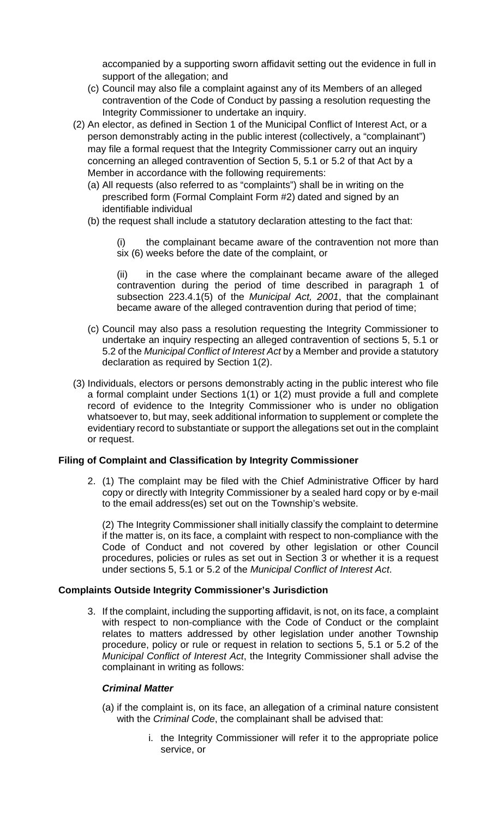accompanied by a supporting sworn affidavit setting out the evidence in full in support of the allegation; and

- (c) Council may also file a complaint against any of its Members of an alleged contravention of the Code of Conduct by passing a resolution requesting the Integrity Commissioner to undertake an inquiry.
- (2) An elector, as defined in Section 1 of the Municipal Conflict of Interest Act, or a person demonstrably acting in the public interest (collectively, a "complainant") may file a formal request that the Integrity Commissioner carry out an inquiry concerning an alleged contravention of Section 5, 5.1 or 5.2 of that Act by a Member in accordance with the following requirements:
	- (a) All requests (also referred to as "complaints") shall be in writing on the prescribed form (Formal Complaint Form #2) dated and signed by an identifiable individual
	- (b) the request shall include a statutory declaration attesting to the fact that:
		- (i) the complainant became aware of the contravention not more than six (6) weeks before the date of the complaint, or

(ii) in the case where the complainant became aware of the alleged contravention during the period of time described in paragraph 1 of subsection 223.4.1(5) of the *Municipal Act, 2001*, that the complainant became aware of the alleged contravention during that period of time;

- (c) Council may also pass a resolution requesting the Integrity Commissioner to undertake an inquiry respecting an alleged contravention of sections 5, 5.1 or 5.2 of the *Municipal Conflict of Interest Act* by a Member and provide a statutory declaration as required by Section 1(2).
- (3) Individuals, electors or persons demonstrably acting in the public interest who file a formal complaint under Sections 1(1) or 1(2) must provide a full and complete record of evidence to the Integrity Commissioner who is under no obligation whatsoever to, but may, seek additional information to supplement or complete the evidentiary record to substantiate or support the allegations set out in the complaint or request.

## **Filing of Complaint and Classification by Integrity Commissioner**

2. (1) The complaint may be filed with the Chief Administrative Officer by hard copy or directly with Integrity Commissioner by a sealed hard copy or by e-mail to the email address(es) set out on the Township's website.

(2) The Integrity Commissioner shall initially classify the complaint to determine if the matter is, on its face, a complaint with respect to non-compliance with the Code of Conduct and not covered by other legislation or other Council procedures, policies or rules as set out in Section 3 or whether it is a request under sections 5, 5.1 or 5.2 of the *Municipal Conflict of Interest Act*.

#### **Complaints Outside Integrity Commissioner's Jurisdiction**

3. If the complaint, including the supporting affidavit, is not, on its face, a complaint with respect to non-compliance with the Code of Conduct or the complaint relates to matters addressed by other legislation under another Township procedure, policy or rule or request in relation to sections 5, 5.1 or 5.2 of the *Municipal Conflict of Interest Act*, the Integrity Commissioner shall advise the complainant in writing as follows:

#### *Criminal Matter*

- (a) if the complaint is, on its face, an allegation of a criminal nature consistent with the *Criminal Code*, the complainant shall be advised that:
	- i. the Integrity Commissioner will refer it to the appropriate police service, or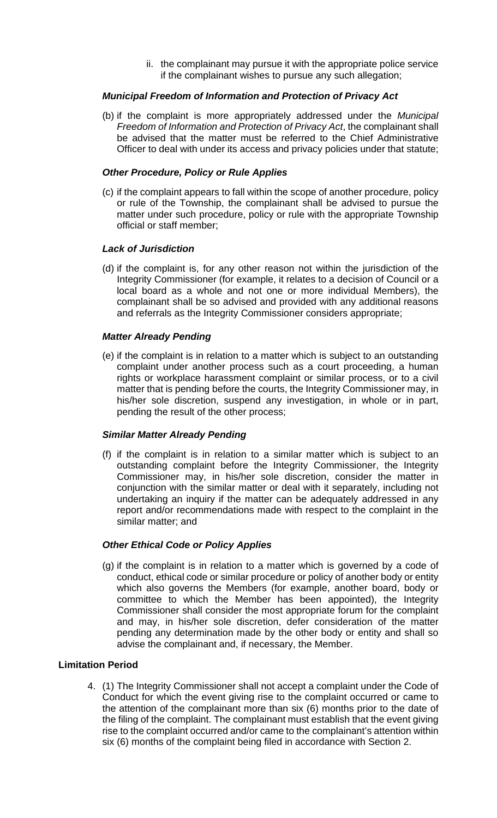ii. the complainant may pursue it with the appropriate police service if the complainant wishes to pursue any such allegation;

## *Municipal Freedom of Information and Protection of Privacy Act*

(b) if the complaint is more appropriately addressed under the *Municipal Freedom of Information and Protection of Privacy Act*, the complainant shall be advised that the matter must be referred to the Chief Administrative Officer to deal with under its access and privacy policies under that statute;

#### *Other Procedure, Policy or Rule Applies*

(c) if the complaint appears to fall within the scope of another procedure, policy or rule of the Township, the complainant shall be advised to pursue the matter under such procedure, policy or rule with the appropriate Township official or staff member;

#### *Lack of Jurisdiction*

(d) if the complaint is, for any other reason not within the jurisdiction of the Integrity Commissioner (for example, it relates to a decision of Council or a local board as a whole and not one or more individual Members), the complainant shall be so advised and provided with any additional reasons and referrals as the Integrity Commissioner considers appropriate;

#### *Matter Already Pending*

(e) if the complaint is in relation to a matter which is subject to an outstanding complaint under another process such as a court proceeding, a human rights or workplace harassment complaint or similar process, or to a civil matter that is pending before the courts, the Integrity Commissioner may, in his/her sole discretion, suspend any investigation, in whole or in part, pending the result of the other process;

#### *Similar Matter Already Pending*

(f) if the complaint is in relation to a similar matter which is subject to an outstanding complaint before the Integrity Commissioner, the Integrity Commissioner may, in his/her sole discretion, consider the matter in conjunction with the similar matter or deal with it separately, including not undertaking an inquiry if the matter can be adequately addressed in any report and/or recommendations made with respect to the complaint in the similar matter; and

#### *Other Ethical Code or Policy Applies*

(g) if the complaint is in relation to a matter which is governed by a code of conduct, ethical code or similar procedure or policy of another body or entity which also governs the Members (for example, another board, body or committee to which the Member has been appointed), the Integrity Commissioner shall consider the most appropriate forum for the complaint and may, in his/her sole discretion, defer consideration of the matter pending any determination made by the other body or entity and shall so advise the complainant and, if necessary, the Member.

#### **Limitation Period**

4. (1) The Integrity Commissioner shall not accept a complaint under the Code of Conduct for which the event giving rise to the complaint occurred or came to the attention of the complainant more than six (6) months prior to the date of the filing of the complaint. The complainant must establish that the event giving rise to the complaint occurred and/or came to the complainant's attention within six (6) months of the complaint being filed in accordance with Section 2.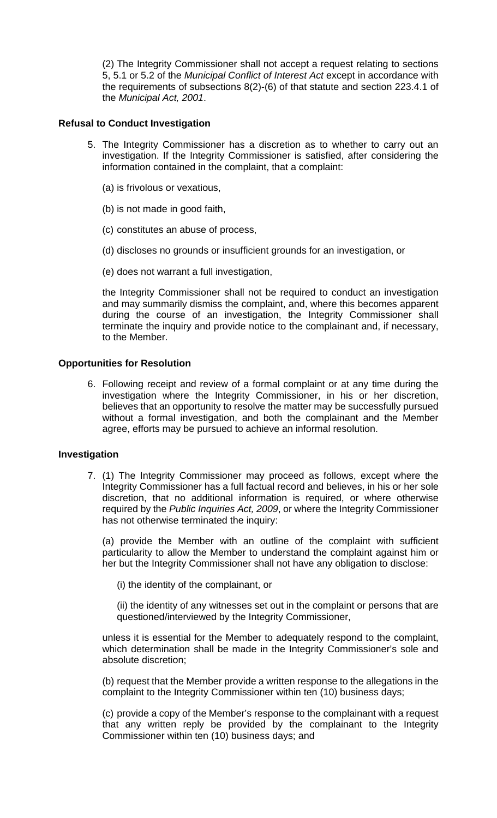(2) The Integrity Commissioner shall not accept a request relating to sections 5, 5.1 or 5.2 of the *Municipal Conflict of Interest Act* except in accordance with the requirements of subsections 8(2)-(6) of that statute and section 223.4.1 of the *Municipal Act, 2001*.

#### **Refusal to Conduct Investigation**

- 5. The Integrity Commissioner has a discretion as to whether to carry out an investigation. If the Integrity Commissioner is satisfied, after considering the information contained in the complaint, that a complaint:
	- (a) is frivolous or vexatious,
	- (b) is not made in good faith,
	- (c) constitutes an abuse of process,
	- (d) discloses no grounds or insufficient grounds for an investigation, or
	- (e) does not warrant a full investigation,

the Integrity Commissioner shall not be required to conduct an investigation and may summarily dismiss the complaint, and, where this becomes apparent during the course of an investigation, the Integrity Commissioner shall terminate the inquiry and provide notice to the complainant and, if necessary, to the Member.

#### **Opportunities for Resolution**

6. Following receipt and review of a formal complaint or at any time during the investigation where the Integrity Commissioner, in his or her discretion, believes that an opportunity to resolve the matter may be successfully pursued without a formal investigation, and both the complainant and the Member agree, efforts may be pursued to achieve an informal resolution.

#### **Investigation**

7. (1) The Integrity Commissioner may proceed as follows, except where the Integrity Commissioner has a full factual record and believes, in his or her sole discretion, that no additional information is required, or where otherwise required by the *Public Inquiries Act, 2009*, or where the Integrity Commissioner has not otherwise terminated the inquiry:

(a) provide the Member with an outline of the complaint with sufficient particularity to allow the Member to understand the complaint against him or her but the Integrity Commissioner shall not have any obligation to disclose:

- (i) the identity of the complainant, or
- (ii) the identity of any witnesses set out in the complaint or persons that are questioned/interviewed by the Integrity Commissioner,

unless it is essential for the Member to adequately respond to the complaint, which determination shall be made in the Integrity Commissioner's sole and absolute discretion;

(b) request that the Member provide a written response to the allegations in the complaint to the Integrity Commissioner within ten (10) business days;

(c) provide a copy of the Member's response to the complainant with a request that any written reply be provided by the complainant to the Integrity Commissioner within ten (10) business days; and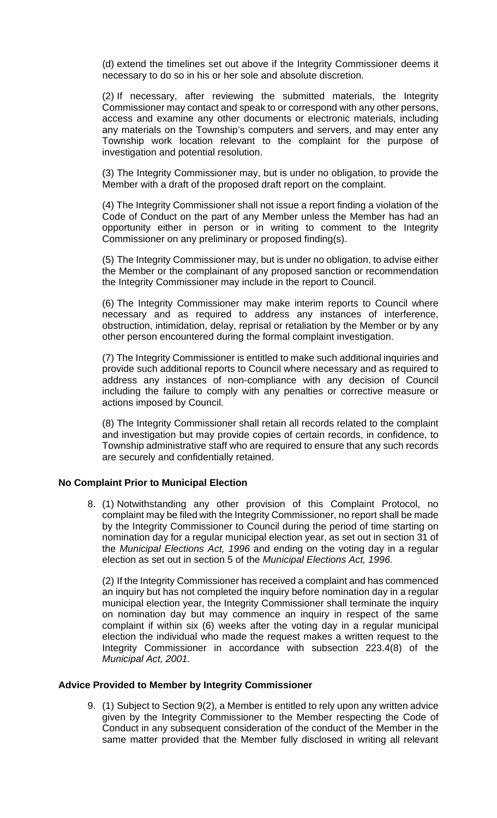(d) extend the timelines set out above if the Integrity Commissioner deems it necessary to do so in his or her sole and absolute discretion.

(2) If necessary, after reviewing the submitted materials, the Integrity Commissioner may contact and speak to or correspond with any other persons, access and examine any other documents or electronic materials, including any materials on the Township's computers and servers, and may enter any Township work location relevant to the complaint for the purpose of investigation and potential resolution.

(3) The Integrity Commissioner may, but is under no obligation, to provide the Member with a draft of the proposed draft report on the complaint.

(4) The Integrity Commissioner shall not issue a report finding a violation of the Code of Conduct on the part of any Member unless the Member has had an opportunity either in person or in writing to comment to the Integrity Commissioner on any preliminary or proposed finding(s).

(5) The Integrity Commissioner may, but is under no obligation, to advise either the Member or the complainant of any proposed sanction or recommendation the Integrity Commissioner may include in the report to Council.

(6) The Integrity Commissioner may make interim reports to Council where necessary and as required to address any instances of interference, obstruction, intimidation, delay, reprisal or retaliation by the Member or by any other person encountered during the formal complaint investigation.

(7) The Integrity Commissioner is entitled to make such additional inquiries and provide such additional reports to Council where necessary and as required to address any instances of non-compliance with any decision of Council including the failure to comply with any penalties or corrective measure or actions imposed by Council.

(8) The Integrity Commissioner shall retain all records related to the complaint and investigation but may provide copies of certain records, in confidence, to Township administrative staff who are required to ensure that any such records are securely and confidentially retained.

#### **No Complaint Prior to Municipal Election**

8. (1) Notwithstanding any other provision of this Complaint Protocol, no complaint may be filed with the Integrity Commissioner, no report shall be made by the Integrity Commissioner to Council during the period of time starting on nomination day for a regular municipal election year, as set out in section 31 of the *Municipal Elections Act, 1996* and ending on the voting day in a regular election as set out in section 5 of the *Municipal Elections Act, 1996*.

(2) If the Integrity Commissioner has received a complaint and has commenced an inquiry but has not completed the inquiry before nomination day in a regular municipal election year, the Integrity Commissioner shall terminate the inquiry on nomination day but may commence an inquiry in respect of the same complaint if within six (6) weeks after the voting day in a regular municipal election the individual who made the request makes a written request to the Integrity Commissioner in accordance with subsection 223.4(8) of the *Municipal Act, 2001*.

#### **Advice Provided to Member by Integrity Commissioner**

9. (1) Subject to Section 9(2), a Member is entitled to rely upon any written advice given by the Integrity Commissioner to the Member respecting the Code of Conduct in any subsequent consideration of the conduct of the Member in the same matter provided that the Member fully disclosed in writing all relevant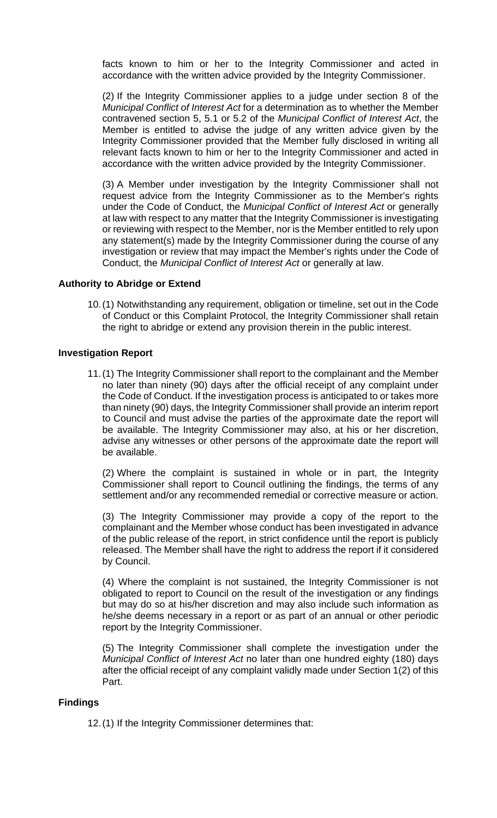facts known to him or her to the Integrity Commissioner and acted in accordance with the written advice provided by the Integrity Commissioner.

(2) If the Integrity Commissioner applies to a judge under section 8 of the *Municipal Conflict of Interest Act* for a determination as to whether the Member contravened section 5, 5.1 or 5.2 of the *Municipal Conflict of Interest Act*, the Member is entitled to advise the judge of any written advice given by the Integrity Commissioner provided that the Member fully disclosed in writing all relevant facts known to him or her to the Integrity Commissioner and acted in accordance with the written advice provided by the Integrity Commissioner.

(3) A Member under investigation by the Integrity Commissioner shall not request advice from the Integrity Commissioner as to the Member's rights under the Code of Conduct, the *Municipal Conflict of Interest Act* or generally at law with respect to any matter that the Integrity Commissioner is investigating or reviewing with respect to the Member, nor is the Member entitled to rely upon any statement(s) made by the Integrity Commissioner during the course of any investigation or review that may impact the Member's rights under the Code of Conduct, the *Municipal Conflict of Interest Act* or generally at law.

#### **Authority to Abridge or Extend**

10.(1) Notwithstanding any requirement, obligation or timeline, set out in the Code of Conduct or this Complaint Protocol, the Integrity Commissioner shall retain the right to abridge or extend any provision therein in the public interest.

#### **Investigation Report**

11.(1) The Integrity Commissioner shall report to the complainant and the Member no later than ninety (90) days after the official receipt of any complaint under the Code of Conduct. If the investigation process is anticipated to or takes more than ninety (90) days, the Integrity Commissioner shall provide an interim report to Council and must advise the parties of the approximate date the report will be available. The Integrity Commissioner may also, at his or her discretion, advise any witnesses or other persons of the approximate date the report will be available.

(2) Where the complaint is sustained in whole or in part, the Integrity Commissioner shall report to Council outlining the findings, the terms of any settlement and/or any recommended remedial or corrective measure or action.

(3) The Integrity Commissioner may provide a copy of the report to the complainant and the Member whose conduct has been investigated in advance of the public release of the report, in strict confidence until the report is publicly released. The Member shall have the right to address the report if it considered by Council.

(4) Where the complaint is not sustained, the Integrity Commissioner is not obligated to report to Council on the result of the investigation or any findings but may do so at his/her discretion and may also include such information as he/she deems necessary in a report or as part of an annual or other periodic report by the Integrity Commissioner.

(5) The Integrity Commissioner shall complete the investigation under the *Municipal Conflict of Interest Act* no later than one hundred eighty (180) days after the official receipt of any complaint validly made under Section 1(2) of this Part.

#### **Findings**

12.(1) If the Integrity Commissioner determines that: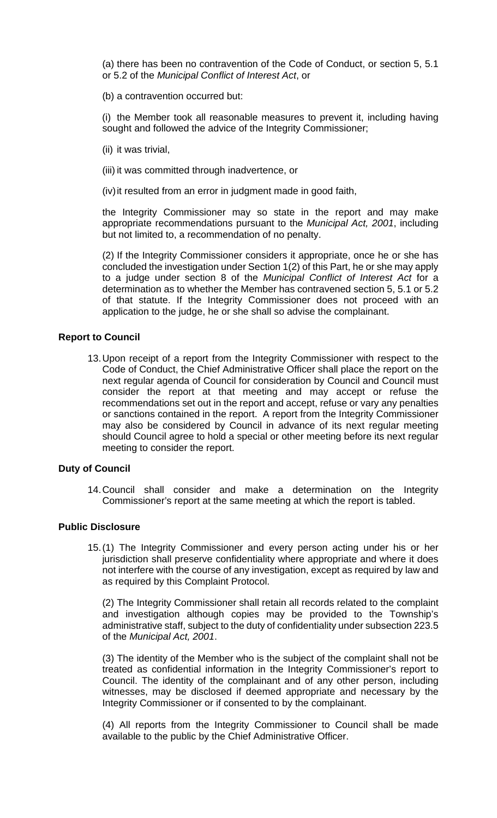(a) there has been no contravention of the Code of Conduct, or section 5, 5.1 or 5.2 of the *Municipal Conflict of Interest Act*, or

(b) a contravention occurred but:

(i) the Member took all reasonable measures to prevent it, including having sought and followed the advice of the Integrity Commissioner;

- (ii) it was trivial,
- (iii) it was committed through inadvertence, or

(iv)it resulted from an error in judgment made in good faith,

the Integrity Commissioner may so state in the report and may make appropriate recommendations pursuant to the *Municipal Act, 2001*, including but not limited to, a recommendation of no penalty.

(2) If the Integrity Commissioner considers it appropriate, once he or she has concluded the investigation under Section 1(2) of this Part, he or she may apply to a judge under section 8 of the *Municipal Conflict of Interest Act* for a determination as to whether the Member has contravened section 5, 5.1 or 5.2 of that statute. If the Integrity Commissioner does not proceed with an application to the judge, he or she shall so advise the complainant.

#### **Report to Council**

13.Upon receipt of a report from the Integrity Commissioner with respect to the Code of Conduct, the Chief Administrative Officer shall place the report on the next regular agenda of Council for consideration by Council and Council must consider the report at that meeting and may accept or refuse the recommendations set out in the report and accept, refuse or vary any penalties or sanctions contained in the report. A report from the Integrity Commissioner may also be considered by Council in advance of its next regular meeting should Council agree to hold a special or other meeting before its next regular meeting to consider the report.

#### **Duty of Council**

14.Council shall consider and make a determination on the Integrity Commissioner's report at the same meeting at which the report is tabled.

#### **Public Disclosure**

15.(1) The Integrity Commissioner and every person acting under his or her jurisdiction shall preserve confidentiality where appropriate and where it does not interfere with the course of any investigation, except as required by law and as required by this Complaint Protocol.

(2) The Integrity Commissioner shall retain all records related to the complaint and investigation although copies may be provided to the Township's administrative staff, subject to the duty of confidentiality under subsection 223.5 of the *Municipal Act, 2001*.

(3) The identity of the Member who is the subject of the complaint shall not be treated as confidential information in the Integrity Commissioner's report to Council. The identity of the complainant and of any other person, including witnesses, may be disclosed if deemed appropriate and necessary by the Integrity Commissioner or if consented to by the complainant.

(4) All reports from the Integrity Commissioner to Council shall be made available to the public by the Chief Administrative Officer.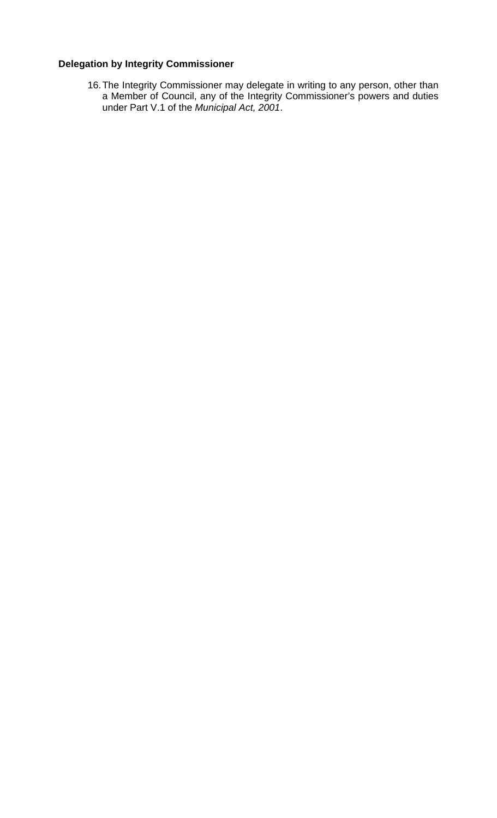## **Delegation by Integrity Commissioner**

16.The Integrity Commissioner may delegate in writing to any person, other than a Member of Council, any of the Integrity Commissioner's powers and duties under Part V.1 of the *Municipal Act, 2001*.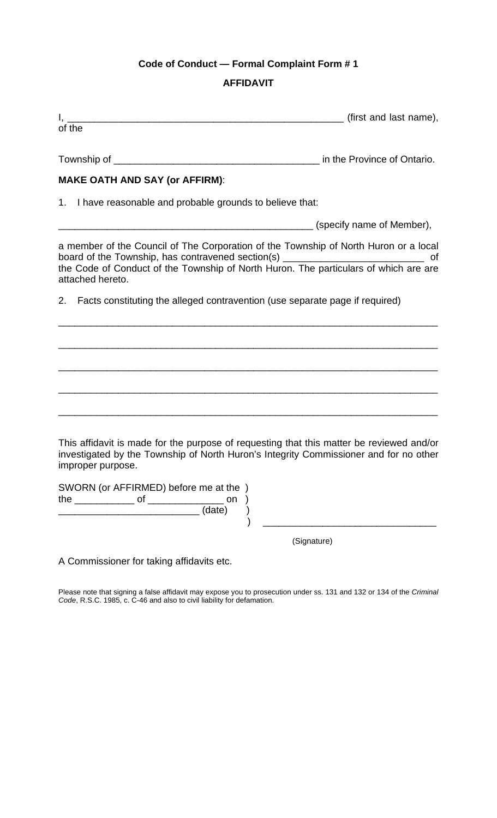## **Code of Conduct — Formal Complaint Form # 1**

## **AFFIDAVIT**

| of the                                                                                                                                                                                                 |             |
|--------------------------------------------------------------------------------------------------------------------------------------------------------------------------------------------------------|-------------|
|                                                                                                                                                                                                        |             |
| <b>MAKE OATH AND SAY (or AFFIRM):</b>                                                                                                                                                                  |             |
| 1. I have reasonable and probable grounds to believe that:                                                                                                                                             |             |
|                                                                                                                                                                                                        |             |
| a member of the Council of The Corporation of the Township of North Huron or a local<br>attached hereto.                                                                                               |             |
| Facts constituting the alleged contravention (use separate page if required)<br>2.                                                                                                                     |             |
|                                                                                                                                                                                                        |             |
|                                                                                                                                                                                                        |             |
|                                                                                                                                                                                                        |             |
|                                                                                                                                                                                                        |             |
|                                                                                                                                                                                                        |             |
| This affidavit is made for the purpose of requesting that this matter be reviewed and/or<br>investigated by the Township of North Huron's Integrity Commissioner and for no other<br>improper purpose. |             |
| SWORN (or AFFIRMED) before me at the )<br>(date)                                                                                                                                                       |             |
|                                                                                                                                                                                                        | (Signature) |
| A Commissioner for taking affidavits etc.                                                                                                                                                              |             |

Please note that signing a false affidavit may expose you to prosecution under ss. 131 and 132 or 134 of the *Criminal Code*, R.S.C. 1985, c. C-46 and also to civil liability for defamation.